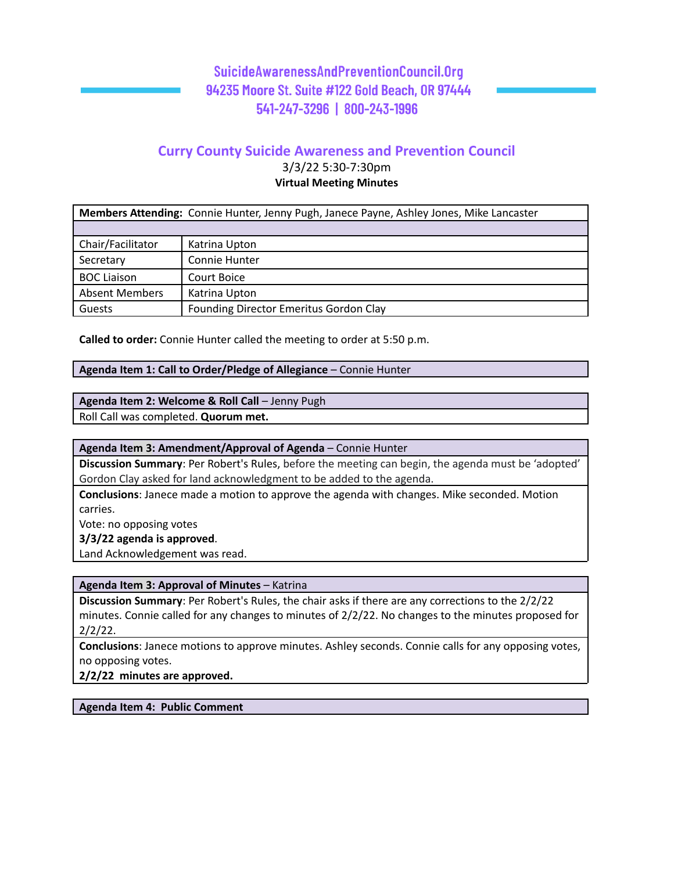## **Curry County Suicide Awareness and Prevention Council**

3/3/22 5:30-7:30pm **Virtual Meeting Minutes**

| <b>Members Attending:</b> Connie Hunter, Jenny Pugh, Janece Payne, Ashley Jones, Mike Lancaster |                                        |  |
|-------------------------------------------------------------------------------------------------|----------------------------------------|--|
|                                                                                                 |                                        |  |
| Chair/Facilitator                                                                               | Katrina Upton                          |  |
| Secretary                                                                                       | Connie Hunter                          |  |
| <b>BOC Liaison</b>                                                                              | Court Boice                            |  |
| <b>Absent Members</b>                                                                           | Katrina Upton                          |  |
| Guests                                                                                          | Founding Director Emeritus Gordon Clay |  |

**Called to order:** Connie Hunter called the meeting to order at 5:50 p.m.

#### **Agenda Item 1: Call to Order/Pledge of Allegiance** – Connie Hunter

#### **Agenda Item 2: Welcome & Roll Call** – Jenny Pugh

Roll Call was completed. **Quorum met.**

## **Agenda Item 3: Amendment/Approval of Agenda** – Connie Hunter

**Discussion Summary**: Per Robert's Rules, before the meeting can begin, the agenda must be 'adopted' Gordon Clay asked for land acknowledgment to be added to the agenda.

**Conclusions**: Janece made a motion to approve the agenda with changes. Mike seconded. Motion carries.

Vote: no opposing votes

**3/3/22 agenda is approved**.

Land Acknowledgement was read.

**Agenda Item 3: Approval of Minutes** – Katrina

**Discussion Summary**: Per Robert's Rules, the chair asks if there are any corrections to the 2/2/22 minutes. Connie called for any changes to minutes of 2/2/22. No changes to the minutes proposed for 2/2/22.

**Conclusions**: Janece motions to approve minutes. Ashley seconds. Connie calls for any opposing votes, no opposing votes.

**2/2/22 minutes are approved.**

**Agenda Item 4: Public Comment**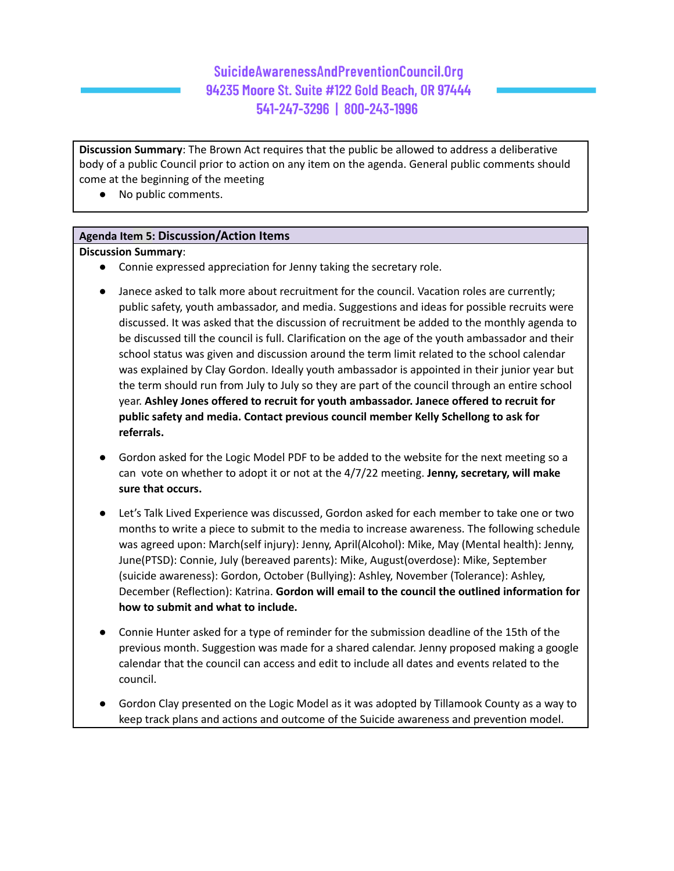**Discussion Summary**: The Brown Act requires that the public be allowed to address a deliberative body of a public Council prior to action on any item on the agenda. General public comments should come at the beginning of the meeting

● No public comments.

#### **Agenda Item 5: Discussion/Action Items**

#### **Discussion Summary**:

- Connie expressed appreciation for Jenny taking the secretary role.
- Janece asked to talk more about recruitment for the council. Vacation roles are currently; public safety, youth ambassador, and media. Suggestions and ideas for possible recruits were discussed. It was asked that the discussion of recruitment be added to the monthly agenda to be discussed till the council is full. Clarification on the age of the youth ambassador and their school status was given and discussion around the term limit related to the school calendar was explained by Clay Gordon. Ideally youth ambassador is appointed in their junior year but the term should run from July to July so they are part of the council through an entire school year. **Ashley Jones offered to recruit for youth ambassador. Janece offered to recruit for public safety and media. Contact previous council member Kelly Schellong to ask for referrals.**
- Gordon asked for the Logic Model PDF to be added to the website for the next meeting so a can vote on whether to adopt it or not at the 4/7/22 meeting. **Jenny, secretary, will make sure that occurs.**
- Let's Talk Lived Experience was discussed, Gordon asked for each member to take one or two months to write a piece to submit to the media to increase awareness. The following schedule was agreed upon: March(self injury): Jenny, April(Alcohol): Mike, May (Mental health): Jenny, June(PTSD): Connie, July (bereaved parents): Mike, August(overdose): Mike, September (suicide awareness): Gordon, October (Bullying): Ashley, November (Tolerance): Ashley, December (Reflection): Katrina. **Gordon will email to the council the outlined information for how to submit and what to include.**
- Connie Hunter asked for a type of reminder for the submission deadline of the 15th of the previous month. Suggestion was made for a shared calendar. Jenny proposed making a google calendar that the council can access and edit to include all dates and events related to the council.
- Gordon Clay presented on the Logic Model as it was adopted by Tillamook County as a way to keep track plans and actions and outcome of the Suicide awareness and prevention model.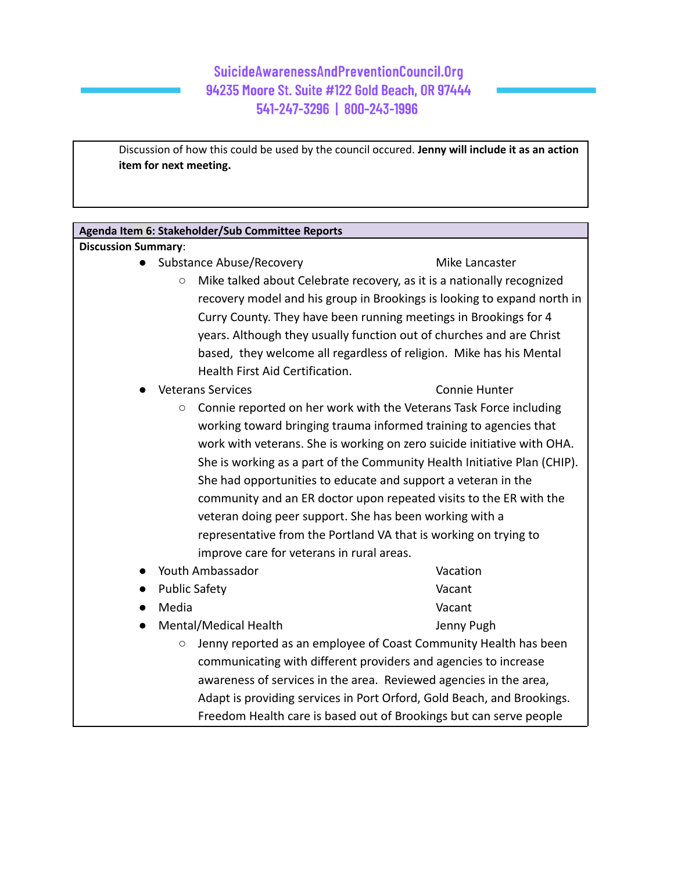Discussion of how this could be used by the council occured. **Jenny will include it as an action item for next meeting.**

| Agenda Item 6: Stakeholder/Sub Committee Reports                                                                                                                                                                                                                                                                                                                |                                                                         |  |                                                                                                                               |                                                                        |  |
|-----------------------------------------------------------------------------------------------------------------------------------------------------------------------------------------------------------------------------------------------------------------------------------------------------------------------------------------------------------------|-------------------------------------------------------------------------|--|-------------------------------------------------------------------------------------------------------------------------------|------------------------------------------------------------------------|--|
| <b>Discussion Summary:</b>                                                                                                                                                                                                                                                                                                                                      |                                                                         |  |                                                                                                                               |                                                                        |  |
| Substance Abuse/Recovery                                                                                                                                                                                                                                                                                                                                        | Mike Lancaster                                                          |  |                                                                                                                               |                                                                        |  |
| $\bigcirc$                                                                                                                                                                                                                                                                                                                                                      | Mike talked about Celebrate recovery, as it is a nationally recognized  |  |                                                                                                                               |                                                                        |  |
|                                                                                                                                                                                                                                                                                                                                                                 | recovery model and his group in Brookings is looking to expand north in |  |                                                                                                                               |                                                                        |  |
|                                                                                                                                                                                                                                                                                                                                                                 | Curry County. They have been running meetings in Brookings for 4        |  |                                                                                                                               |                                                                        |  |
|                                                                                                                                                                                                                                                                                                                                                                 | years. Although they usually function out of churches and are Christ    |  |                                                                                                                               |                                                                        |  |
|                                                                                                                                                                                                                                                                                                                                                                 | based, they welcome all regardless of religion. Mike has his Mental     |  |                                                                                                                               |                                                                        |  |
| Health First Aid Certification.                                                                                                                                                                                                                                                                                                                                 |                                                                         |  |                                                                                                                               |                                                                        |  |
| <b>Veterans Services</b>                                                                                                                                                                                                                                                                                                                                        | <b>Connie Hunter</b>                                                    |  |                                                                                                                               |                                                                        |  |
| $\bigcirc$                                                                                                                                                                                                                                                                                                                                                      |                                                                         |  |                                                                                                                               |                                                                        |  |
| Connie reported on her work with the Veterans Task Force including<br>working toward bringing trauma informed training to agencies that<br>work with veterans. She is working on zero suicide initiative with OHA.<br>She is working as a part of the Community Health Initiative Plan (CHIP).<br>She had opportunities to educate and support a veteran in the |                                                                         |  |                                                                                                                               |                                                                        |  |
|                                                                                                                                                                                                                                                                                                                                                                 |                                                                         |  |                                                                                                                               |                                                                        |  |
|                                                                                                                                                                                                                                                                                                                                                                 |                                                                         |  | community and an ER doctor upon repeated visits to the ER with the<br>veteran doing peer support. She has been working with a |                                                                        |  |
|                                                                                                                                                                                                                                                                                                                                                                 |                                                                         |  |                                                                                                                               |                                                                        |  |
|                                                                                                                                                                                                                                                                                                                                                                 | representative from the Portland VA that is working on trying to        |  |                                                                                                                               |                                                                        |  |
| improve care for veterans in rural areas.                                                                                                                                                                                                                                                                                                                       |                                                                         |  |                                                                                                                               |                                                                        |  |
| Youth Ambassador                                                                                                                                                                                                                                                                                                                                                | Vacation                                                                |  |                                                                                                                               |                                                                        |  |
| <b>Public Safety</b><br>$\bullet$                                                                                                                                                                                                                                                                                                                               | Vacant                                                                  |  |                                                                                                                               |                                                                        |  |
| Media                                                                                                                                                                                                                                                                                                                                                           | Vacant                                                                  |  |                                                                                                                               |                                                                        |  |
| Mental/Medical Health                                                                                                                                                                                                                                                                                                                                           | Jenny Pugh                                                              |  |                                                                                                                               |                                                                        |  |
| Jenny reported as an employee of Coast Community Health has been<br>$\circ$                                                                                                                                                                                                                                                                                     |                                                                         |  |                                                                                                                               |                                                                        |  |
| communicating with different providers and agencies to increase<br>awareness of services in the area. Reviewed agencies in the area,                                                                                                                                                                                                                            |                                                                         |  |                                                                                                                               |                                                                        |  |
|                                                                                                                                                                                                                                                                                                                                                                 |                                                                         |  |                                                                                                                               | Adapt is providing services in Port Orford, Gold Beach, and Brookings. |  |
|                                                                                                                                                                                                                                                                                                                                                                 | Freedom Health care is based out of Brookings but can serve people      |  |                                                                                                                               |                                                                        |  |